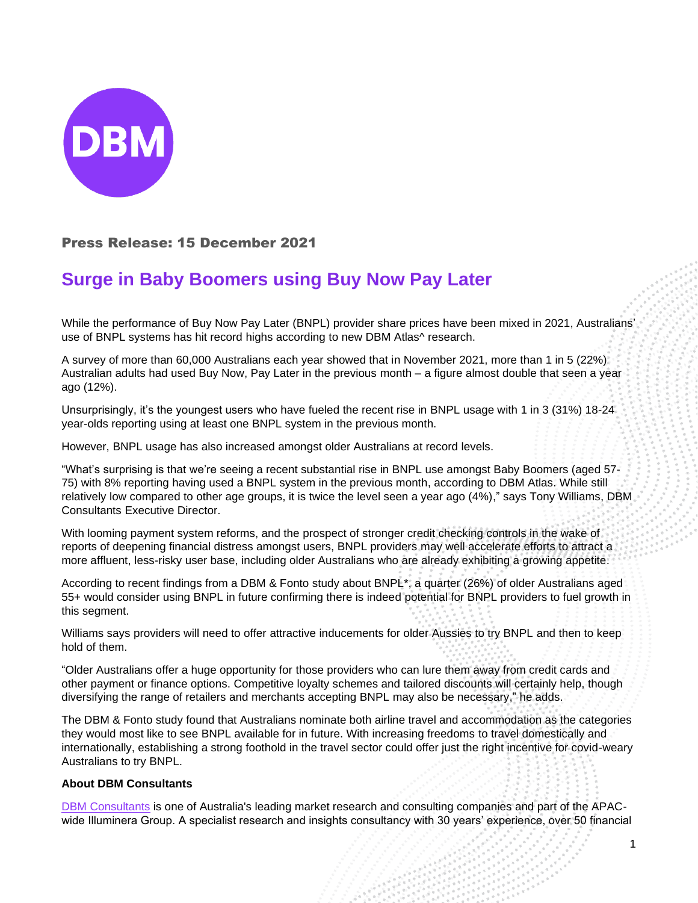

## Press Release: 15 December 2021

## **Surge in Baby Boomers using Buy Now Pay Later**

While the performance of Buy Now Pay Later (BNPL) provider share prices have been mixed in 2021, Australians' use of BNPL systems has hit record highs according to new DBM Atlas^ research.

A survey of more than 60,000 Australians each year showed that in November 2021, more than 1 in 5 (22%) Australian adults had used Buy Now, Pay Later in the previous month – a figure almost double that seen a year ago (12%).

Unsurprisingly, it's the youngest users who have fueled the recent rise in BNPL usage with 1 in 3 (31%) 18-24 year-olds reporting using at least one BNPL system in the previous month.

However, BNPL usage has also increased amongst older Australians at record levels.

"What's surprising is that we're seeing a recent substantial rise in BNPL use amongst Baby Boomers (aged 57- 75) with 8% reporting having used a BNPL system in the previous month, according to DBM Atlas. While still relatively low compared to other age groups, it is twice the level seen a year ago (4%)," says Tony Williams, DBM Consultants Executive Director.

With looming payment system reforms, and the prospect of stronger credit checking controls in the wake of reports of deepening financial distress amongst users, BNPL providers may well accelerate efforts to attract a more affluent, less-risky user base, including older Australians who are already exhibiting a growing appetite.

According to recent findings from a DBM & Fonto study about BNPL\*, a quarter (26%) of older Australians aged 55+ would consider using BNPL in future confirming there is indeed potential for BNPL providers to fuel growth in this segment.

Williams says providers will need to offer attractive inducements for older Aussies to try BNPL and then to keep hold of them.

"Older Australians offer a huge opportunity for those providers who can lure them away from credit cards and other payment or finance options. Competitive loyalty schemes and tailored discounts will certainly help, though diversifying the range of retailers and merchants accepting BNPL may also be necessary," he adds.

The DBM & Fonto study found that Australians nominate both airline travel and accommodation as the categories they would most like to see BNPL available for in future. With increasing freedoms to travel domestically and internationally, establishing a strong foothold in the travel sector could offer just the right incentive for covid-weary Australians to try BNPL.

## **About DBM Consultants**

[DBM Consultants](https://www.dbmconsultants.com.au/) is one of Australia's leading market research and consulting companies and part of the APACwide Illuminera Group. A specialist research and insights consultancy with 30 years' experience, over 50 financial